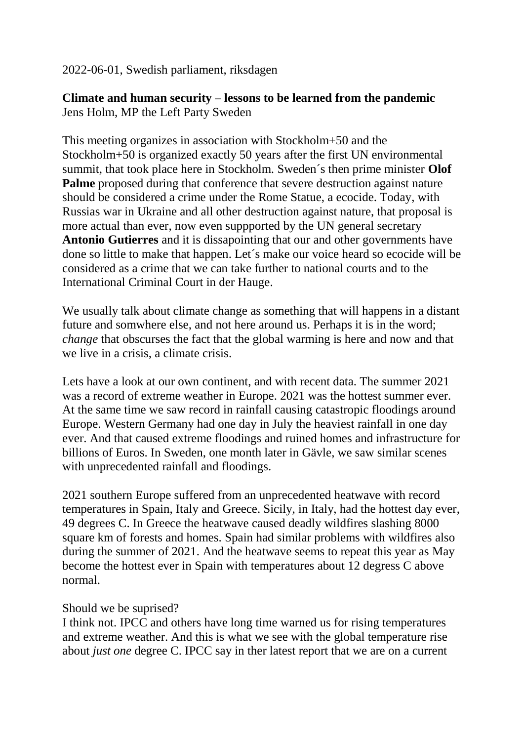2022-06-01, Swedish parliament, riksdagen

## **Climate and human security – lessons to be learned from the pandemic** Jens Holm, MP the Left Party Sweden

This meeting organizes in association with Stockholm+50 and the Stockholm+50 is organized exactly 50 years after the first UN environmental summit, that took place here in Stockholm. Sweden´s then prime minister **Olof Palme** proposed during that conference that severe destruction against nature should be considered a crime under the Rome Statue, a ecocide. Today, with Russias war in Ukraine and all other destruction against nature, that proposal is more actual than ever, now even suppported by the UN general secretary **Antonio Gutierres** and it is dissapointing that our and other governments have done so little to make that happen. Let´s make our voice heard so ecocide will be considered as a crime that we can take further to national courts and to the International Criminal Court in der Hauge.

We usually talk about climate change as something that will happens in a distant future and somwhere else, and not here around us. Perhaps it is in the word; *change* that obscurses the fact that the global warming is here and now and that we live in a crisis, a climate crisis.

Lets have a look at our own continent, and with recent data. The summer 2021 was a record of extreme weather in Europe. 2021 was the hottest summer ever. At the same time we saw record in rainfall causing catastropic floodings around Europe. Western Germany had one day in July the heaviest rainfall in one day ever. And that caused extreme floodings and ruined homes and infrastructure for billions of Euros. In Sweden, one month later in Gävle, we saw similar scenes with unprecedented rainfall and floodings.

2021 southern Europe suffered from an unprecedented heatwave with record temperatures in Spain, Italy and Greece. Sicily, in Italy, had the hottest day ever, 49 degrees C. In Greece the heatwave caused deadly wildfires slashing 8000 square km of forests and homes. Spain had similar problems with wildfires also during the summer of 2021. And the heatwave seems to repeat this year as May become the hottest ever in Spain with temperatures about 12 degress C above normal.

## Should we be suprised?

I think not. IPCC and others have long time warned us for rising temperatures and extreme weather. And this is what we see with the global temperature rise about *just one* degree C. IPCC say in ther latest report that we are on a current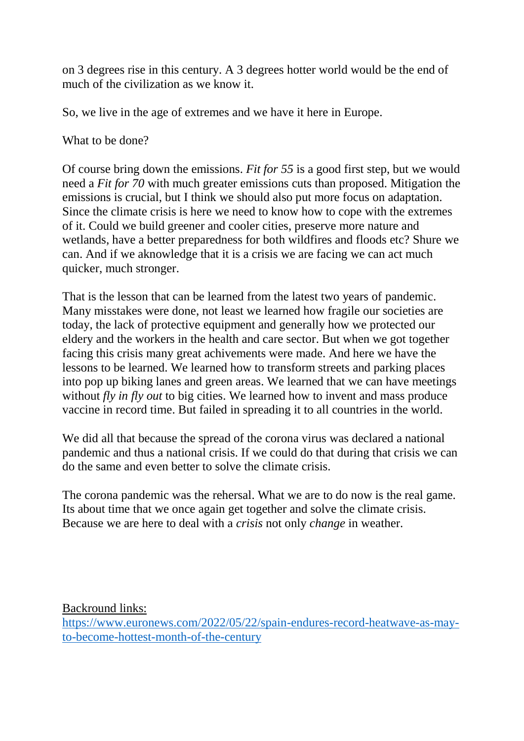on 3 degrees rise in this century. A 3 degrees hotter world would be the end of much of the civilization as we know it.

So, we live in the age of extremes and we have it here in Europe.

What to be done?

Of course bring down the emissions. *Fit for 55* is a good first step, but we would need a *Fit for 70* with much greater emissions cuts than proposed. Mitigation the emissions is crucial, but I think we should also put more focus on adaptation. Since the climate crisis is here we need to know how to cope with the extremes of it. Could we build greener and cooler cities, preserve more nature and wetlands, have a better preparedness for both wildfires and floods etc? Shure we can. And if we aknowledge that it is a crisis we are facing we can act much quicker, much stronger.

That is the lesson that can be learned from the latest two years of pandemic. Many misstakes were done, not least we learned how fragile our societies are today, the lack of protective equipment and generally how we protected our eldery and the workers in the health and care sector. But when we got together facing this crisis many great achivements were made. And here we have the lessons to be learned. We learned how to transform streets and parking places into pop up biking lanes and green areas. We learned that we can have meetings without *fly in fly out* to big cities. We learned how to invent and mass produce vaccine in record time. But failed in spreading it to all countries in the world.

We did all that because the spread of the corona virus was declared a national pandemic and thus a national crisis. If we could do that during that crisis we can do the same and even better to solve the climate crisis.

The corona pandemic was the rehersal. What we are to do now is the real game. Its about time that we once again get together and solve the climate crisis. Because we are here to deal with a *crisis* not only *change* in weather.

Backround links: [https://www.euronews.com/2022/05/22/spain-endures-record-heatwave-as-may](https://www.euronews.com/2022/05/22/spain-endures-record-heatwave-as-may-to-become-hottest-month-of-the-century)[to-become-hottest-month-of-the-century](https://www.euronews.com/2022/05/22/spain-endures-record-heatwave-as-may-to-become-hottest-month-of-the-century)